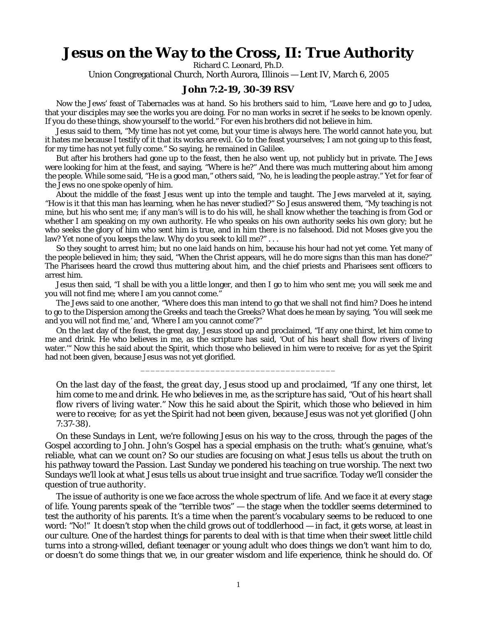## **Jesus on the Way to the Cross, II: True Authority**

Richard C. Leonard, Ph.D.

Union Congregational Church, North Aurora, Illinois — Lent IV, March 6, 2005

## **John 7:2-19, 30-39 RSV**

Now the Jews' feast of Tabernacles was at hand. So his brothers said to him, "Leave here and go to Judea, that your disciples may see the works you are doing. For no man works in secret if he seeks to be known openly. If you do these things, show yourself to the world." For even his brothers did not believe in him.

Jesus said to them, "My time has not yet come, but your time is always here. The world cannot hate you, but it hates me because I testify of it that its works are evil. Go to the feast yourselves; I am not going up to this feast, for my time has not yet fully come." So saying, he remained in Galilee.

But after his brothers had gone up to the feast, then he also went up, not publicly but in private. The Jews were looking for him at the feast, and saying, "Where is he?" And there was much muttering about him among the people. While some said, "He is a good man," others said, "No, he is leading the people astray." Yet for fear of the Jews no one spoke openly of him.

About the middle of the feast Jesus went up into the temple and taught. The Jews marveled at it, saying, "How is it that this man has learning, when he has never studied?" So Jesus answered them, "My teaching is not mine, but his who sent me; if any man's will is to do his will, he shall know whether the teaching is from God or whether I am speaking on my own authority. He who speaks on his own authority seeks his own glory; but he who seeks the glory of him who sent him is true, and in him there is no falsehood. Did not Moses give you the law? Yet none of you keeps the law. Why do you seek to kill me?"...

So they sought to arrest him; but no one laid hands on him, because his hour had not yet come. Yet many of the people believed in him; they said, "When the Christ appears, will he do more signs than this man has done?" The Pharisees heard the crowd thus muttering about him, and the chief priests and Pharisees sent officers to arrest him.

Jesus then said, "I shall be with you a little longer, and then I go to him who sent me; you will seek me and you will not find me; where I am you cannot come."

The Jews said to one another, "Where does this man intend to go that we shall not find him? Does he intend to go to the Dispersion among the Greeks and teach the Greeks? What does he mean by saying, 'You will seek me and you will not find me,' and, 'Where I am you cannot come'?"

On the last day of the feast, the great day, Jesus stood up and proclaimed, "If any one thirst, let him come to me and drink. He who believes in me, as the scripture has said, 'Out of his heart shall flow rivers of living water.'" Now this he said about the Spirit, which those who believed in him were to receive; for as yet the Spirit had not been given, because Jesus was not yet glorified.

\_\_\_\_\_\_\_\_\_\_\_\_\_\_\_\_\_\_\_\_\_\_\_\_\_\_\_\_\_\_\_\_\_\_\_\_\_\_\_

*On the last day of the feast, the great day, Jesus stood up and proclaimed, "If any one thirst, let him come to me and drink. He who believes in me, as the scripture has said, "Out of his heart shall flow rivers of living water." Now this he said about the Spirit, which those who believed in him were to receive; for as yet the Spirit had not been given, because Jesus was not yet glorified* (John 7:37-38).

On these Sundays in Lent, we're following Jesus on his way to the cross, through the pages of the Gospel according to John. John's Gospel has a special emphasis on *the truth:* what's genuine, what's reliable, what can we count on? So our studies are focusing on what Jesus tells us about *the truth* on his pathway toward the Passion. Last Sunday we pondered his teaching on true worship. The next two Sundays we'll look at what Jesus tells us about *true insight* and *true sacrifice*. Today we'll consider the question of *true authority.*

The issue of authority is one we face across the whole spectrum of life. And we face it at every stage of life. Young parents speak of the "terrible twos" — the stage when the toddler seems determined to test the authority of his parents. It's a time when the parent's vocabulary seems to be reduced to one word: *"No!"* It doesn't stop when the child grows out of toddlerhood — in fact, it gets worse, at least in our culture. One of the hardest things for parents to deal with is that time when their sweet little child turns into a strong-willed, defiant teenager or young adult who does things we don't want him to do, or doesn't do some things that we, in our greater wisdom and life experience, think he should do. Of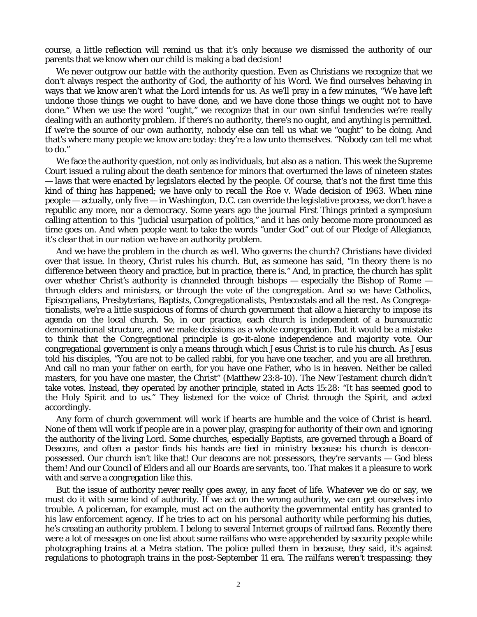course, a little reflection will remind us that it's only because *we* dismissed the authority of *our* parents that we know when our child is making a bad decision!

We never outgrow our battle with the authority question. Even as Christians we recognize that we don't always respect the authority of God, the authority of his Word. We find ourselves behaving in ways that we know aren't what the Lord intends for us. As we'll pray in a few minutes, "We have left undone those things we ought to have done, and we have done those things we ought not to have done." When we use the word "ought," we recognize that in our own sinful tendencies we're really dealing with an authority problem. If there's no authority, there's no *ought*, and anything is permitted. If we're the source of our own authority, nobody else can tell us what we "ought" to be doing. And that's where many people we know are today: they're a law unto themselves. "Nobody can tell me what to do."

We face the authority question, not only as individuals, but also as a nation. This week the Supreme Court issued a ruling about the death sentence for minors that overturned the laws of nineteen states — laws that were enacted by legislators elected by the people. Of course, that's not the first time this kind of thing has happened; we have only to recall the Roe v. Wade decision of 1963. When nine people — actually, only five — in Washington, D.C. can override the legislative process, we don't have a republic any more, nor a democracy. Some years ago the journal *First Things* printed a symposium calling attention to this "judicial usurpation of politics," and it has only become more pronounced as time goes on. And when people want to take the words "under God" out of our Pledge of Allegiance, it's clear that in our nation we have an authority problem.

And we have the problem in the church as well. Who governs the church? Christians have divided over that issue. In theory, Christ rules his church. But, as someone has said, "In theory there is no difference between theory and practice, but in practice, there is." And, in practice, the church has split over whether Christ's authority is channeled through bishops  $-$  especially the Bishop of Rome  $$ through elders and ministers, or through the vote of the congregation. And so we have Catholics, Episcopalians, Presbyterians, Baptists, Congregationalists, Pentecostals and all the rest. As Congregationalists, we're a little suspicious of forms of church government that allow a hierarchy to impose its agenda on the local church. So, in our practice, each church is independent of a bureaucratic denominational structure, and we make decisions as a whole congregation. But it would be a mistake to think that the Congregational principle is go-it-alone independence and majority vote. Our congregational government is only a means through which Jesus Christ is to rule his church. As Jesus told his disciples, "You are not to be called rabbi, for you have one teacher, and you are all brethren. And call no man your father on earth, for you have one Father, who is in heaven. Neither be called masters, for you have one master, the Christ" (Matthew 23:8-10). The New Testament church didn't take votes. Instead, they operated by another principle, stated in Acts 15:28: "It has seemed good to the Holy Spirit and to us." They listened for the voice of Christ through the Spirit, and acted accordingly.

Any form of church government will work if hearts are humble and the voice of Christ is heard. *None* of them will work if people are in a power play, grasping for authority of their own and ignoring the authority of the living Lord. Some churches, especially Baptists, are governed through a Board of Deacons, and often a pastor finds his hands are tied in ministry because his church is *deaconpossessed.* Our church isn't like that! Our deacons are not possessors, they're *servants* — God bless them! And our Council of Elders and all our Boards are servants, too. That makes it a pleasure to work with and *serve* a congregation like this.

But the issue of authority never really goes away, in any facet of life. Whatever we do or say, we must do it with some kind of authority. If we act on the wrong authority, we can get ourselves into trouble. A policeman, for example, must act on the authority the governmental entity has granted to his law enforcement agency. If he tries to act on his *personal* authority while performing his duties, he's creating an authority problem. I belong to several Internet groups of railroad fans. Recently there were a lot of messages on one list about some railfans who were apprehended by security people while photographing trains at a Metra station. The police pulled them in because, they said, it's against regulations to photograph trains in the post-September 11 era. The railfans weren't trespassing; they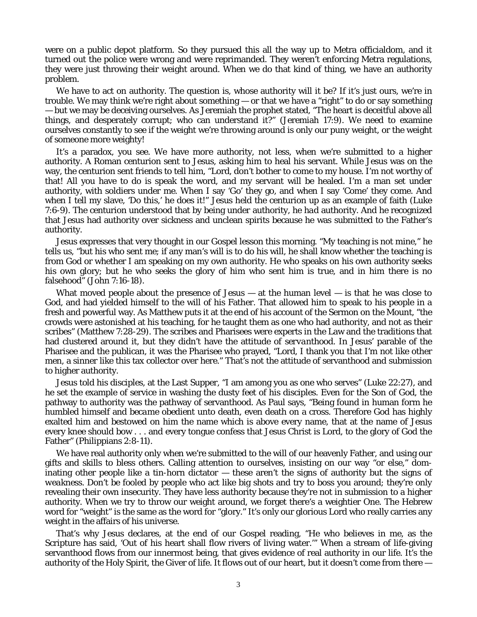were on a public depot platform. So they pursued this all the way up to Metra officialdom, and it turned out the police were wrong and were reprimanded. They weren't enforcing Metra regulations, they were just throwing their weight around. When we do that kind of thing, we have an authority problem.

We have to act on authority. The question is, whose authority will it be? If it's just ours, we're in trouble. We may think we're right about something — or that we have a "right" to do or say something — but we may be deceiving ourselves. As Jeremiah the prophet stated, "The heart is deceitful above all things, and desperately corrupt; who can understand it?" (Jeremiah 17:9). We need to examine ourselves constantly to see if the weight we're throwing around is only our puny weight, or the weight of someone more weighty!

It's a paradox, you see. We have *more* authority, not less, when we're submitted to a higher authority. A Roman centurion sent to Jesus, asking him to heal his servant. While Jesus was on the way, the centurion sent friends to tell him, "Lord, don't bother to come to my house. I'm not worthy of that! All you have to do is speak the word, and my servant will be healed. I'm a man set *under* authority, with soldiers under *me*. When I say 'Go' they go, and when I say 'Come' they come. And when I tell my slave, 'Do this,' he does it!" Jesus held the centurion up as an example of faith (Luke 7:6-9). The centurion understood that by being *under* authority, he *had* authority. And he recognized that Jesus had authority over sickness and unclean spirits because he was submitted to the Father's authority.

Jesus expresses that very thought in our Gospel lesson this morning. "My teaching is not mine," he tells us, "but his who sent me; if any man's will is to do his will, he shall know whether the teaching is from God or whether I am speaking on my own authority. He who speaks on his own authority seeks his own glory; but he who seeks the glory of him who sent him is true, and in him there is no falsehood" (John 7:16-18).

What moved people about the presence of Jesus — at the human level — is that he was close to God, and had yielded himself to the will of his Father. That allowed him to speak to his people in a fresh and powerful way. As Matthew puts it at the end of his account of the Sermon on the Mount, "the crowds were astonished at his teaching, for he taught them as one who had authority, and not as their scribes" (Matthew 7:28-29). The scribes and Pharisees were experts in the Law and the traditions that had clustered around it, but they didn't have the attitude of *servanthood.* In Jesus' parable of the Pharisee and the publican, it was the Pharisee who prayed, "Lord, I thank you that I'm not like other men, a sinner like this tax collector over here." That's not the attitude of servanthood and submission to higher authority.

Jesus told his disciples, at the Last Supper, "I am among you as one who serves" (Luke 22:27), and he set the example of service in washing the dusty feet of his disciples. Even for the Son of God, the pathway to authority was the pathway of servanthood. As Paul says, "Being found in human form he humbled himself and *became obedient* unto death, even death on a cross. Therefore God has highly exalted him and bestowed on him the name which is above every name, that at the name of Jesus every knee should bow . . . and every tongue confess that Jesus Christ is Lord, to the glory of God the Father" (Philippians 2:8-11).

We have real authority only when we're submitted to the will of our heavenly Father, and using our gifts and skills to bless others. Calling attention to ourselves, insisting on our way "or else," dominating other people like a tin-horn dictator — these aren't the signs of authority but the signs of *weakness.* Don't be fooled by people who act like big shots and try to boss you around; they're only revealing their own insecurity. They have less authority because they're not in submission to a higher authority. When we try to throw our weight around, we forget there's a weightier One. The Hebrew word for "weight" is the same as the word for "glory." It's only our glorious Lord who really carries any weight in the affairs of his universe.

That's why Jesus declares, at the end of our Gospel reading, "He who believes in me, as the Scripture has said, 'Out of his heart shall flow rivers of living water.'" When a stream of life-giving servanthood flows from our innermost being, that gives evidence of real authority in our life. It's the authority of the Holy Spirit, the Giver of life. It flows out of our heart, but it doesn't come from there —